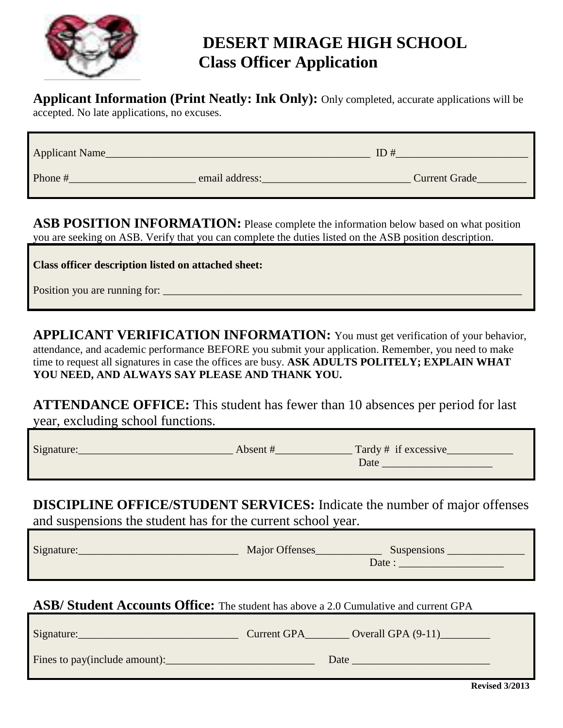

# **DESERT MIRAGE HIGH SCHOOL Class Officer Application**

**Applicant Information (Print Neatly: Ink Only):** Only completed, accurate applications will be

accepted. No late applications, no excuses.

| <b>Applicant Name</b> |                | ID#                  |
|-----------------------|----------------|----------------------|
| Phone #               | email address: | <b>Current Grade</b> |

ASB POSITION INFORMATION: Please complete the information below based on what position you are seeking on ASB. Verify that you can complete the duties listed on the ASB position description.

**Class officer description listed on attached sheet:**

Position you are running for:

**APPLICANT VERIFICATION INFORMATION:** You must get verification of your behavior, attendance, and academic performance BEFORE you submit your application. Remember, you need to make time to request all signatures in case the offices are busy. **ASK ADULTS POLITELY; EXPLAIN WHAT YOU NEED, AND ALWAYS SAY PLEASE AND THANK YOU.**

**ATTENDANCE OFFICE:** This student has fewer than 10 absences per period for last year, excluding school functions.

| Signature: | Absent # | Tardy # if excessive |
|------------|----------|----------------------|
|            |          | Date                 |
|            |          |                      |

**DISCIPLINE OFFICE/STUDENT SERVICES:** Indicate the number of major offenses and suspensions the student has for the current school year.

| Signature: | Major Offenses | Suspensions<br>Date: |
|------------|----------------|----------------------|
|            |                |                      |

**ASB/ Student Accounts Office:** The student has above a 2.0 Cumulative and current GPA

| Signature:                    | <b>Current GPA</b> | Overall GPA $(9-11)$ |
|-------------------------------|--------------------|----------------------|
| Fines to pay(include amount): |                    | Date                 |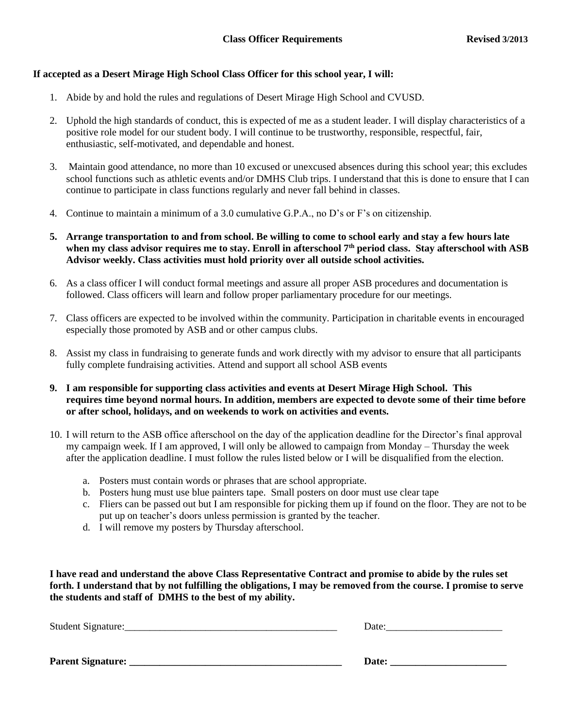#### **If accepted as a Desert Mirage High School Class Officer for this school year, I will:**

- 1. Abide by and hold the rules and regulations of Desert Mirage High School and CVUSD.
- 2. Uphold the high standards of conduct, this is expected of me as a student leader. I will display characteristics of a positive role model for our student body. I will continue to be trustworthy, responsible, respectful, fair, enthusiastic, self-motivated, and dependable and honest.
- 3. Maintain good attendance, no more than 10 excused or unexcused absences during this school year; this excludes school functions such as athletic events and/or DMHS Club trips. I understand that this is done to ensure that I can continue to participate in class functions regularly and never fall behind in classes.
- 4. Continue to maintain a minimum of a 3.0 cumulative G.P.A., no D's or F's on citizenship.
- **5. Arrange transportation to and from school. Be willing to come to school early and stay a few hours late when my class advisor requires me to stay. Enroll in afterschool 7th period class. Stay afterschool with ASB Advisor weekly. Class activities must hold priority over all outside school activities.**
- 6. As a class officer I will conduct formal meetings and assure all proper ASB procedures and documentation is followed. Class officers will learn and follow proper parliamentary procedure for our meetings.
- 7. Class officers are expected to be involved within the community. Participation in charitable events in encouraged especially those promoted by ASB and or other campus clubs.
- 8. Assist my class in fundraising to generate funds and work directly with my advisor to ensure that all participants fully complete fundraising activities. Attend and support all school ASB events
- **9. I am responsible for supporting class activities and events at Desert Mirage High School. This requires time beyond normal hours. In addition, members are expected to devote some of their time before or after school, holidays, and on weekends to work on activities and events.**
- 10. I will return to the ASB office afterschool on the day of the application deadline for the Director's final approval my campaign week. If I am approved, I will only be allowed to campaign from Monday – Thursday the week after the application deadline. I must follow the rules listed below or I will be disqualified from the election.
	- a. Posters must contain words or phrases that are school appropriate.
	- b. Posters hung must use blue painters tape. Small posters on door must use clear tape
	- c. Fliers can be passed out but I am responsible for picking them up if found on the floor. They are not to be put up on teacher's doors unless permission is granted by the teacher.
	- d. I will remove my posters by Thursday afterschool.

**I have read and understand the above Class Representative Contract and promise to abide by the rules set forth. I understand that by not fulfilling the obligations, I may be removed from the course. I promise to serve the students and staff of DMHS to the best of my ability.**

| Date: |
|-------|
|       |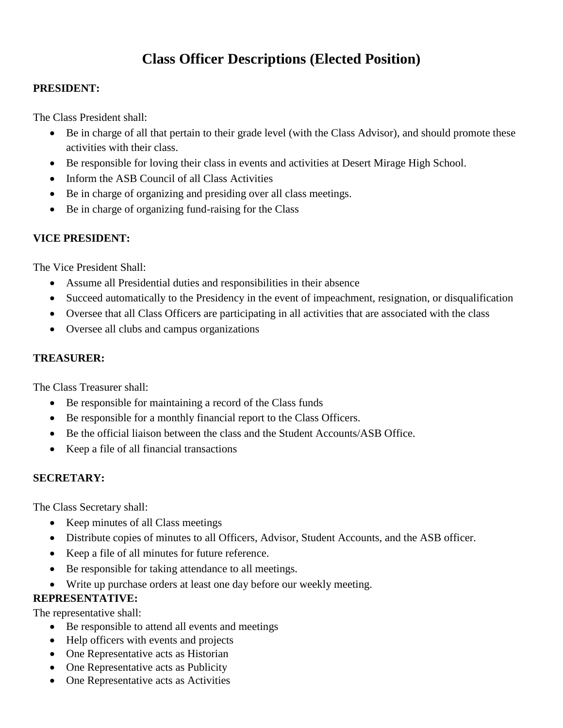## **Class Officer Descriptions (Elected Position)**

#### **PRESIDENT:**

The Class President shall:

- Be in charge of all that pertain to their grade level (with the Class Advisor), and should promote these activities with their class.
- Be responsible for loving their class in events and activities at Desert Mirage High School.
- Inform the ASB Council of all Class Activities
- Be in charge of organizing and presiding over all class meetings.
- Be in charge of organizing fund-raising for the Class

## **VICE PRESIDENT:**

The Vice President Shall:

- Assume all Presidential duties and responsibilities in their absence
- Succeed automatically to the Presidency in the event of impeachment, resignation, or disqualification
- Oversee that all Class Officers are participating in all activities that are associated with the class
- Oversee all clubs and campus organizations

#### **TREASURER:**

The Class Treasurer shall:

- Be responsible for maintaining a record of the Class funds
- Be responsible for a monthly financial report to the Class Officers.
- Be the official liaison between the class and the Student Accounts/ASB Office.
- Keep a file of all financial transactions

### **SECRETARY:**

The Class Secretary shall:

- Keep minutes of all Class meetings
- Distribute copies of minutes to all Officers, Advisor, Student Accounts, and the ASB officer.
- Keep a file of all minutes for future reference.
- Be responsible for taking attendance to all meetings.
- Write up purchase orders at least one day before our weekly meeting.

## **REPRESENTATIVE:**

The representative shall:

- Be responsible to attend all events and meetings
- Help officers with events and projects
- One Representative acts as Historian
- One Representative acts as Publicity
- One Representative acts as Activities